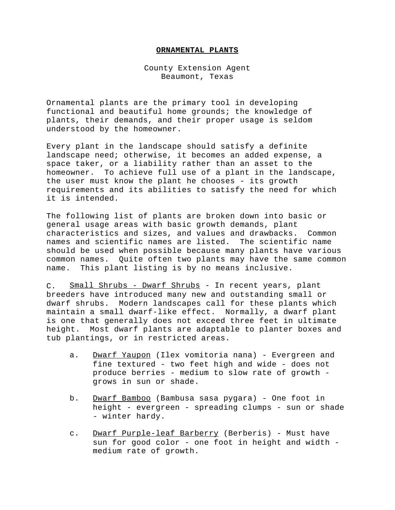## **ORNAMENTAL PLANTS**

County Extension Agent Beaumont, Texas

Ornamental plants are the primary tool in developing functional and beautiful home grounds; the knowledge of plants, their demands, and their proper usage is seldom understood by the homeowner.

Every plant in the landscape should satisfy a definite landscape need; otherwise, it becomes an added expense, a space taker, or a liability rather than an asset to the homeowner. To achieve full use of a plant in the landscape, the user must know the plant he chooses - its growth requirements and its abilities to satisfy the need for which it is intended.

The following list of plants are broken down into basic or general usage areas with basic growth demands, plant characteristics and sizes, and values and drawbacks. Common names and scientific names are listed. The scientific name should be used when possible because many plants have various common names. Quite often two plants may have the same common name. This plant listing is by no means inclusive.

C. Small Shrubs - Dwarf Shrubs - In recent years, plant breeders have introduced many new and outstanding small or dwarf shrubs. Modern landscapes call for these plants which maintain a small dwarf-like effect. Normally, a dwarf plant is one that generally does not exceed three feet in ultimate height. Most dwarf plants are adaptable to planter boxes and tub plantings, or in restricted areas.

- a. Dwarf Yaupon (Ilex vomitoria nana) Evergreen and fine textured - two feet high and wide - does not produce berries - medium to slow rate of growth grows in sun or shade.
- b. Dwarf Bamboo (Bambusa sasa pygara) One foot in height - evergreen - spreading clumps - sun or shade - winter hardy.
- c. Dwarf Purple-leaf Barberry (Berberis) Must have sun for good color - one foot in height and width medium rate of growth.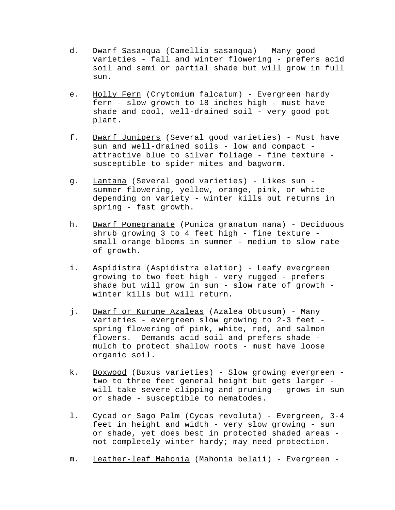- d. Dwarf Sasanqua (Camellia sasanqua) Many good varieties - fall and winter flowering - prefers acid soil and semi or partial shade but will grow in full sun.
- e. Holly Fern (Crytomium falcatum) Evergreen hardy fern - slow growth to 18 inches high - must have shade and cool, well-drained soil - very good pot plant.
- f. Dwarf Junipers (Several good varieties) Must have sun and well-drained soils - low and compact attractive blue to silver foliage - fine texture susceptible to spider mites and bagworm.
- g. Lantana (Several good varieties) Likes sun summer flowering, yellow, orange, pink, or white depending on variety - winter kills but returns in spring - fast growth.
- h. Dwarf Pomegranate (Punica granatum nana) Deciduous shrub growing 3 to 4 feet high - fine texture small orange blooms in summer - medium to slow rate of growth.
- i. Aspidistra (Aspidistra elatior) Leafy evergreen growing to two feet high - very rugged - prefers shade but will grow in sun - slow rate of growth winter kills but will return.
- j. Dwarf or Kurume Azaleas (Azalea Obtusum) Many varieties - evergreen slow growing to 2-3 feet spring flowering of pink, white, red, and salmon flowers. Demands acid soil and prefers shade mulch to protect shallow roots - must have loose organic soil.
- k. Boxwood (Buxus varieties) Slow growing evergreen two to three feet general height but gets larger will take severe clipping and pruning - grows in sun or shade - susceptible to nematodes.
- l. Cycad or Sago Palm (Cycas revoluta) Evergreen, 3-4 feet in height and width - very slow growing - sun or shade, yet does best in protected shaded areas not completely winter hardy; may need protection.
- m. Leather-leaf Mahonia (Mahonia belaii) Evergreen -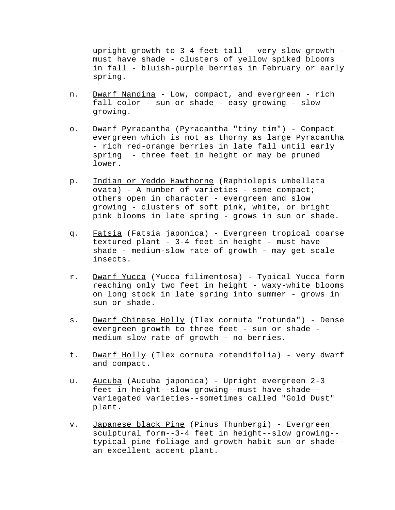upright growth to 3-4 feet tall - very slow growth must have shade - clusters of yellow spiked blooms in fall - bluish-purple berries in February or early spring.

- n. Dwarf Nandina Low, compact, and evergreen rich fall color - sun or shade - easy growing - slow growing.
- o. Dwarf Pyracantha (Pyracantha "tiny tim") Compact evergreen which is not as thorny as large Pyracantha - rich red-orange berries in late fall until early spring - three feet in height or may be pruned lower.
- p. Indian or Yeddo Hawthorne (Raphiolepis umbellata ovata) - A number of varieties - some compact; others open in character - evergreen and slow growing - clusters of soft pink, white, or bright pink blooms in late spring - grows in sun or shade.
- q. Fatsia (Fatsia japonica) Evergreen tropical coarse textured plant - 3-4 feet in height - must have shade - medium-slow rate of growth - may get scale insects.
- r. Dwarf Yucca (Yucca filimentosa) Typical Yucca form reaching only two feet in height - waxy-white blooms on long stock in late spring into summer - grows in sun or shade.
- s. Dwarf Chinese Holly (Ilex cornuta "rotunda") Dense evergreen growth to three feet - sun or shade medium slow rate of growth - no berries.
- t. Dwarf Holly (Ilex cornuta rotendifolia) very dwarf and compact.
- u. Aucuba (Aucuba japonica) Upright evergreen 2-3 feet in height--slow growing--must have shade- variegated varieties--sometimes called "Gold Dust" plant.
- v. Japanese black Pine (Pinus Thunbergi) Evergreen sculptural form--3-4 feet in height--slow growing- typical pine foliage and growth habit sun or shade- an excellent accent plant.